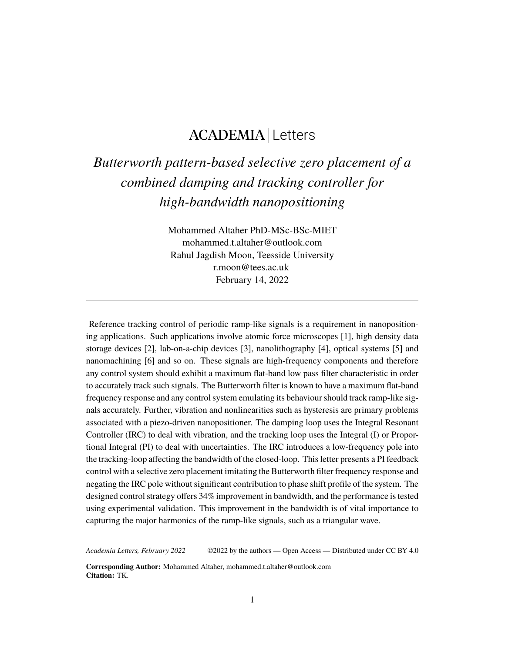## ACADEMIA Letters

## *Butterworth pattern-based selective zero placement of a combined damping and tracking controller for high-bandwidth nanopositioning*

Mohammed Altaher PhD-MSc-BSc-MIET mohammed.t.altaher@outlook.com Rahul Jagdish Moon, Teesside University r.moon@tees.ac.uk February 14, 2022

Reference tracking control of periodic ramp-like signals is a requirement in nanopositioning applications. Such applications involve atomic force microscopes [1], high density data storage devices [2], lab-on-a-chip devices [3], nanolithography [4], optical systems [5] and nanomachining [6] and so on. These signals are high-frequency components and therefore any control system should exhibit a maximum flat-band low pass filter characteristic in order to accurately track such signals. The Butterworth filter is known to have a maximum flat-band frequency response and any control system emulating its behaviour should track ramp-like signals accurately. Further, vibration and nonlinearities such as hysteresis are primary problems associated with a piezo-driven nanopositioner. The damping loop uses the Integral Resonant Controller (IRC) to deal with vibration, and the tracking loop uses the Integral (I) or Proportional Integral (PI) to deal with uncertainties. The IRC introduces a low-frequency pole into the tracking-loop affecting the bandwidth of the closed-loop. This letter presents a PI feedback control with a selective zero placement imitating the Butterworth filter frequency response and negating the IRC pole without significant contribution to phase shift profile of the system. The designed control strategy offers 34% improvement in bandwidth, and the performance is tested using experimental validation. This improvement in the bandwidth is of vital importance to capturing the major harmonics of the ramp-like signals, such as a triangular wave.

*Academia Letters, February 2022* ©2022 by the authors — Open Access — Distributed under CC BY 4.0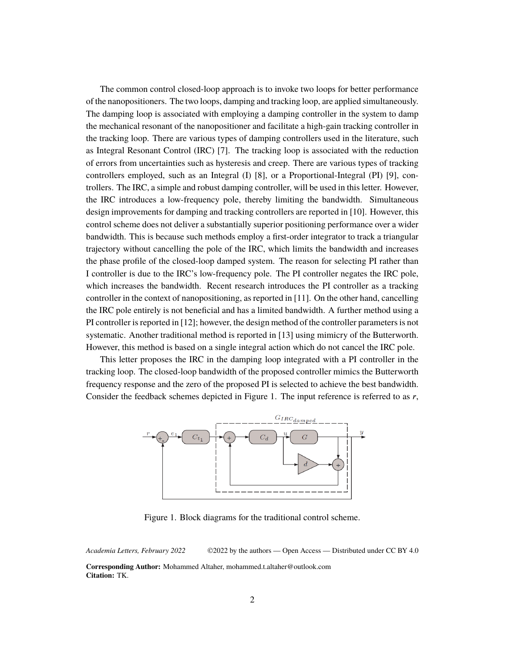The common control closed-loop approach is to invoke two loops for better performance of the nanopositioners. The two loops, damping and tracking loop, are applied simultaneously. The damping loop is associated with employing a damping controller in the system to damp the mechanical resonant of the nanopositioner and facilitate a high-gain tracking controller in the tracking loop. There are various types of damping controllers used in the literature, such as Integral Resonant Control (IRC) [7]. The tracking loop is associated with the reduction of errors from uncertainties such as hysteresis and creep. There are various types of tracking controllers employed, such as an Integral (I) [8], or a Proportional-Integral (PI) [9], controllers. The IRC, a simple and robust damping controller, will be used in this letter. However, the IRC introduces a low-frequency pole, thereby limiting the bandwidth. Simultaneous design improvements for damping and tracking controllers are reported in [10]. However, this control scheme does not deliver a substantially superior positioning performance over a wider bandwidth. This is because such methods employ a first-order integrator to track a triangular trajectory without cancelling the pole of the IRC, which limits the bandwidth and increases the phase profile of the closed-loop damped system. The reason for selecting PI rather than I controller is due to the IRC's low-frequency pole. The PI controller negates the IRC pole, which increases the bandwidth. Recent research introduces the PI controller as a tracking controller in the context of nanopositioning, as reported in [11]. On the other hand, cancelling the IRC pole entirely is not beneficial and has a limited bandwidth. A further method using a PI controller is reported in [12]; however, the design method of the controller parameters is not systematic. Another traditional method is reported in [13] using mimicry of the Butterworth. However, this method is based on a single integral action which do not cancel the IRC pole.

This letter proposes the IRC in the damping loop integrated with a PI controller in the tracking loop. The closed-loop bandwidth of the proposed controller mimics the Butterworth frequency response and the zero of the proposed PI is selected to achieve the best bandwidth. Consider the feedback schemes depicted in Figure 1. The input reference is referred to as  $r$ ,



Figure 1. Block diagrams for the traditional control scheme.

*Academia Letters, February 2022* ©2022 by the authors — Open Access — Distributed under CC BY 4.0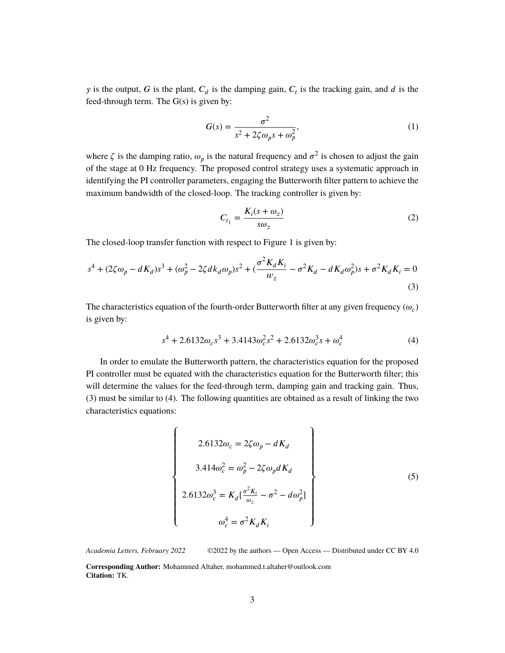y is the output, G is the plant,  $C_d$  is the damping gain,  $C_t$  is the tracking gain, and d is the feed-through term. The  $G(s)$  is given by:

$$
G(s) = \frac{\sigma^2}{s^2 + 2\zeta\omega_p s + \omega_p^2},\tag{1}
$$

where  $\zeta$  is the damping ratio,  $\omega_p$  is the natural frequency and  $\sigma^2$  is chosen to adjust the gain of the stage at 0 Hz frequency. The proposed control strategy uses a systematic approach in identifying the PI controller parameters, engaging the Butterworth filter pattern to achieve the maximum bandwidth of the closed-loop. The tracking controller is given by:

$$
C_{t_1} = \frac{K_i(s + \omega_z)}{s\omega_z} \tag{2}
$$

The closed-loop transfer function with respect to Figure 1 is given by:

$$
s^{4} + (2\zeta\omega_{p} - dK_{d})s^{3} + (\omega_{p}^{2} - 2\zeta dk_{d}\omega_{p})s^{2} + (\frac{\sigma^{2}K_{d}K_{i}}{\omega_{z}} - \sigma^{2}K_{d} - dK_{d}\omega_{p}^{2})s + \sigma^{2}K_{d}K_{i} = 0
$$
\n(3)

The characteristics equation of the fourth-order Butterworth filter at any given frequency  $(\omega_c)$ is given by:

$$
s^4 + 2.6132\omega_c s^3 + 3.4143\omega_c^2 s^2 + 2.6132\omega_c^3 s + \omega_c^4
$$
 (4)

In order to emulate the Butterworth pattern, the characteristics equation for the proposed PI controller must be equated with the characteristics equation for the Butterworth filter; this will determine the values for the feed-through term, damping gain and tracking gain. Thus, (3) must be similar to (4). The following quantities are obtained as a result of linking the two characteristics equations:

$$
\begin{cases}\n2.6132\omega_c = 2\zeta\omega_p - dK_d \\
3.414\omega_c^2 = \omega_p^2 - 2\zeta\omega_p dK_d \\
2.6132\omega_c^3 = K_d \left[\frac{\sigma^2 K_i}{\omega_z} - \sigma^2 - d\omega_p^2\right] \\
\omega_c^4 = \sigma^2 K_d K_i\n\end{cases} (5)
$$

*Academia Letters, February 2022* ©2022 by the authors — Open Access — Distributed under CC BY 4.0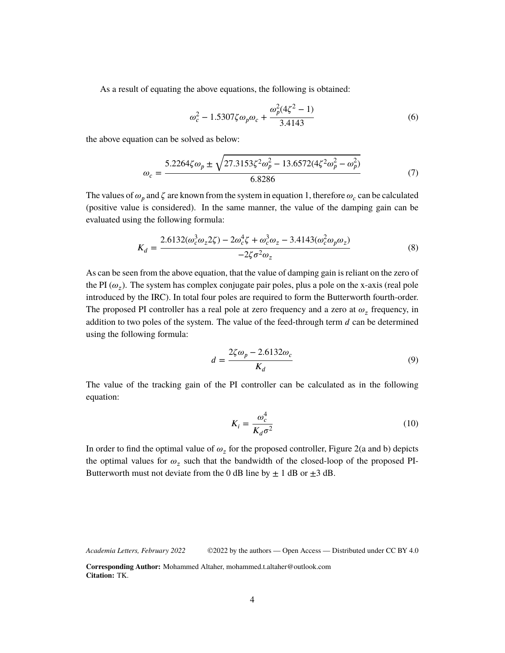As a result of equating the above equations, the following is obtained:

$$
\omega_c^2 - 1.5307\zeta\omega_p\omega_c + \frac{\omega_p^2(4\zeta^2 - 1)}{3.4143}
$$
 (6)

the above equation can be solved as below:

$$
\omega_c = \frac{5.2264\zeta\omega_p \pm \sqrt{27.3153\zeta^2\omega_p^2 - 13.6572(4\zeta^2\omega_p^2 - \omega_p^2)}}{6.8286}
$$
(7)

The values of  $\omega_p$  and  $\zeta$  are known from the system in equation 1, therefore  $\omega_c$  can be calculated (positive value is considered). In the same manner, the value of the damping gain can be evaluated using the following formula:

$$
K_d = \frac{2.6132(\omega_c^3 \omega_z 2\zeta) - 2\omega_c^4 \zeta + \omega_c^3 \omega_z - 3.4143(\omega_c^2 \omega_p \omega_z)}{-2\zeta \sigma^2 \omega_z}
$$
(8)

As can be seen from the above equation, that the value of damping gain is reliant on the zero of the PI  $(\omega_z)$ . The system has complex conjugate pair poles, plus a pole on the x-axis (real pole introduced by the IRC). In total four poles are required to form the Butterworth fourth-order. The proposed PI controller has a real pole at zero frequency and a zero at  $\omega_z$  frequency, in addition to two poles of the system. The value of the feed-through term  $d$  can be determined using the following formula:

$$
d = \frac{2\zeta\omega_p - 2.6132\omega_c}{K_d} \tag{9}
$$

The value of the tracking gain of the PI controller can be calculated as in the following equation:

$$
K_i = \frac{\omega_c^4}{K_d \sigma^2} \tag{10}
$$

In order to find the optimal value of  $\omega_z$  for the proposed controller, Figure 2(a and b) depicts the optimal values for  $\omega_z$  such that the bandwidth of the closed-loop of the proposed PI-Butterworth must not deviate from the 0 dB line by  $\pm$  1 dB or  $\pm$ 3 dB.

*Academia Letters, February 2022* ©2022 by the authors — Open Access — Distributed under CC BY 4.0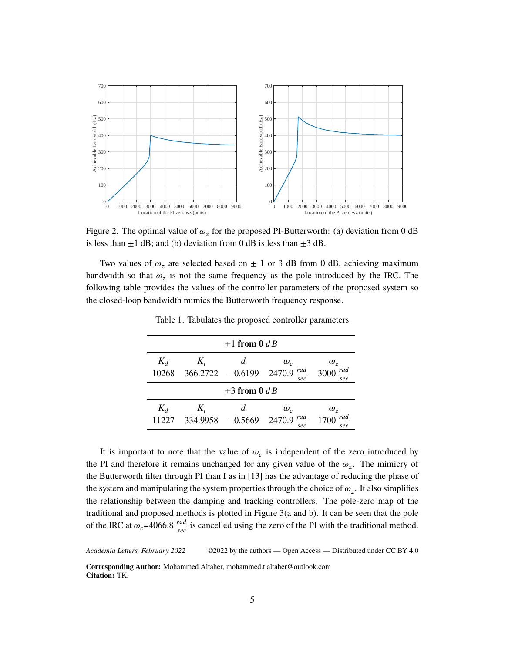

Figure 2. The optimal value of  $\omega_z$  for the proposed PI-Butterworth: (a) deviation from 0 dB is less than  $\pm 1$  dB; and (b) deviation from 0 dB is less than  $\pm 3$  dB.

Two values of  $\omega_z$  are selected based on  $\pm$  1 or 3 dB from 0 dB, achieving maximum bandwidth so that  $\omega_z$  is not the same frequency as the pole introduced by the IRC. The following table provides the values of the controller parameters of the proposed system so the closed-loop bandwidth mimics the Butterworth frequency response.

| $\pm 1$ from 0 d B |                   |                |                                           |                                  |  |
|--------------------|-------------------|----------------|-------------------------------------------|----------------------------------|--|
| $K_d$<br>10268     | $K_i$<br>366.2722 | d<br>$-0.6199$ | $\omega_c$<br><u>rad</u><br>2470.9<br>sec | $\omega$ ,<br>rad<br>3000<br>sec |  |
| $\pm 3$ from 0 d B |                   |                |                                           |                                  |  |
| $K_d$              | $K_i$             | d              | $\omega_c$                                | $\omega_z$                       |  |
| 1227               | 334.9958          | $-0.5669$      | <u>rad</u><br>2470.9<br>sec               | rad<br>sec                       |  |

Table 1. Tabulates the proposed controller parameters

It is important to note that the value of  $\omega_c$  is independent of the zero introduced by the PI and therefore it remains unchanged for any given value of the  $\omega_z$ . The mimicry of the Butterworth filter through PI than I as in [13] has the advantage of reducing the phase of the system and manipulating the system properties through the choice of  $\omega_z$ . It also simplifies the relationship between the damping and tracking controllers. The pole-zero map of the traditional and proposed methods is plotted in Figure 3(a and b). It can be seen that the pole of the IRC at  $\omega_c$ =4066.8  $\frac{rad}{sec}$  is cancelled using the zero of the PI with the traditional method.

*Academia Letters, February 2022* ©2022 by the authors — Open Access — Distributed under CC BY 4.0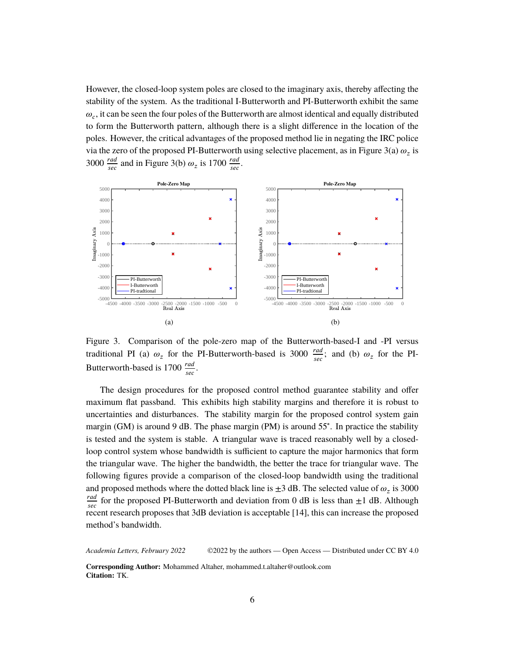However, the closed-loop system poles are closed to the imaginary axis, thereby affecting the stability of the system. As the traditional I-Butterworth and PI-Butterworth exhibit the same  $\omega_c$ , it can be seen the four poles of the Butterworth are almost identical and equally distributed to form the Butterworth pattern, although there is a slight difference in the location of the poles. However, the critical advantages of the proposed method lie in negating the IRC police via the zero of the proposed PI-Butterworth using selective placement, as in Figure 3(a)  $\omega_z$  is 3000  $\frac{rad}{sec}$  and in Figure 3(b)  $\omega_z$  is 1700  $\frac{rad}{sec}$ .



Figure 3. Comparison of the pole-zero map of the Butterworth-based-I and -PI versus traditional PI (a)  $\omega_z$  for the PI-Butterworth-based is 3000  $\frac{rad}{sec}$ ; and (b)  $\omega_z$  for the PI-Butterworth-based is 1700  $\frac{rad}{sec}$ .

The design procedures for the proposed control method guarantee stability and offer maximum flat passband. This exhibits high stability margins and therefore it is robust to uncertainties and disturbances. The stability margin for the proposed control system gain margin (GM) is around 9 dB. The phase margin (PM) is around 55°. In practice the stability is tested and the system is stable. A triangular wave is traced reasonably well by a closedloop control system whose bandwidth is sufficient to capture the major harmonics that form the triangular wave. The higher the bandwidth, the better the trace for triangular wave. The following figures provide a comparison of the closed-loop bandwidth using the traditional and proposed methods where the dotted black line is  $\pm 3$  dB. The selected value of  $\omega_z$  is 3000 rad  $\frac{rad}{sec}$  for the proposed PI-Butterworth and deviation from 0 dB is less than  $\pm 1$  dB. Although recent research proposes that 3dB deviation is acceptable [14], this can increase the proposed method's bandwidth.

*Academia Letters, February 2022* ©2022 by the authors — Open Access — Distributed under CC BY 4.0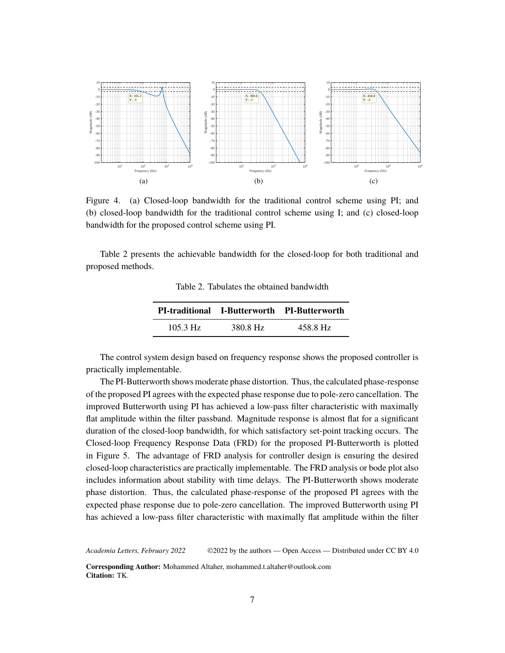

Figure 4. (a) Closed-loop bandwidth for the traditional control scheme using PI; and (b) closed-loop bandwidth for the traditional control scheme using I; and (c) closed-loop bandwidth for the proposed control scheme using PI.

Table 2 presents the achievable bandwidth for the closed-loop for both traditional and proposed methods.

Table 2. Tabulates the obtained bandwidth

|                    |          | <b>PI-traditional I-Butterworth PI-Butterworth</b> |
|--------------------|----------|----------------------------------------------------|
| $105.3 \text{ Hz}$ | 380.8 Hz | 458.8 Hz                                           |

The control system design based on frequency response shows the proposed controller is practically implementable.

The PI-Butterworth shows moderate phase distortion. Thus, the calculated phase-response of the proposed PI agrees with the expected phase response due to pole-zero cancellation. The improved Butterworth using PI has achieved a low-pass filter characteristic with maximally flat amplitude within the filter passband. Magnitude response is almost flat for a significant duration of the closed-loop bandwidth, for which satisfactory set-point tracking occurs. The Closed-loop Frequency Response Data (FRD) for the proposed PI-Butterworth is plotted in Figure 5. The advantage of FRD analysis for controller design is ensuring the desired closed-loop characteristics are practically implementable. The FRD analysis or bode plot also includes information about stability with time delays. The PI-Butterworth shows moderate phase distortion. Thus, the calculated phase-response of the proposed PI agrees with the expected phase response due to pole-zero cancellation. The improved Butterworth using PI has achieved a low-pass filter characteristic with maximally flat amplitude within the filter

*Academia Letters, February 2022* ©2022 by the authors — Open Access — Distributed under CC BY 4.0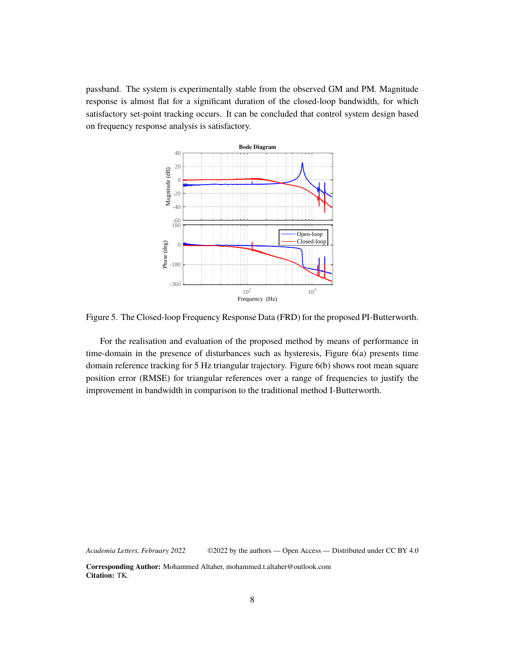passband. The system is experimentally stable from the observed GM and PM. Magnitude response is almost flat for a significant duration of the closed-loop bandwidth, for which satisfactory set-point tracking occurs. It can be concluded that control system design based on frequency response analysis is satisfactory.



Figure 5. The Closed-loop Frequency Response Data (FRD) for the proposed PI-Butterworth.

For the realisation and evaluation of the proposed method by means of performance in time-domain in the presence of disturbances such as hysteresis, Figure 6(a) presents time domain reference tracking for 5 Hz triangular trajectory. Figure 6(b) shows root mean square position error (RMSE) for triangular references over a range of frequencies to justify the improvement in bandwidth in comparison to the traditional method I-Butterworth.

*Academia Letters, February 2022* ©2022 by the authors — Open Access — Distributed under CC BY 4.0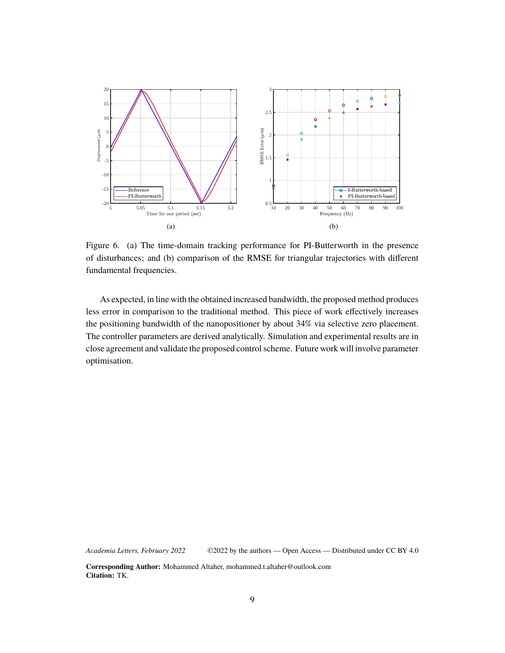

Figure 6. (a) The time-domain tracking performance for PI-Butterworth in the presence of disturbances; and (b) comparison of the RMSE for triangular trajectories with different fundamental frequencies.

As expected, in line with the obtained increased bandwidth, the proposed method produces less error in comparison to the traditional method. This piece of work effectively increases the positioning bandwidth of the nanopositioner by about 34% via selective zero placement. The controller parameters are derived analytically. Simulation and experimental results are in close agreement and validate the proposed control scheme. Future work will involve parameter optimisation.

*Academia Letters, February 2022* ©2022 by the authors — Open Access — Distributed under CC BY 4.0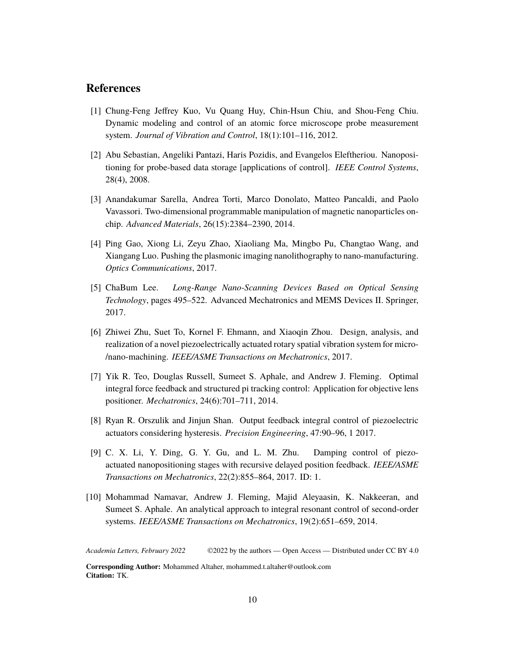## **References**

- [1] Chung-Feng Jeffrey Kuo, Vu Quang Huy, Chin-Hsun Chiu, and Shou-Feng Chiu. Dynamic modeling and control of an atomic force microscope probe measurement system. *Journal of Vibration and Control*, 18(1):101–116, 2012.
- [2] Abu Sebastian, Angeliki Pantazi, Haris Pozidis, and Evangelos Eleftheriou. Nanopositioning for probe-based data storage [applications of control]. *IEEE Control Systems*, 28(4), 2008.
- [3] Anandakumar Sarella, Andrea Torti, Marco Donolato, Matteo Pancaldi, and Paolo Vavassori. Two-dimensional programmable manipulation of magnetic nanoparticles onchip. *Advanced Materials*, 26(15):2384–2390, 2014.
- [4] Ping Gao, Xiong Li, Zeyu Zhao, Xiaoliang Ma, Mingbo Pu, Changtao Wang, and Xiangang Luo. Pushing the plasmonic imaging nanolithography to nano-manufacturing. *Optics Communications*, 2017.
- [5] ChaBum Lee. *Long-Range Nano-Scanning Devices Based on Optical Sensing Technology*, pages 495–522. Advanced Mechatronics and MEMS Devices II. Springer, 2017.
- [6] Zhiwei Zhu, Suet To, Kornel F. Ehmann, and Xiaoqin Zhou. Design, analysis, and realization of a novel piezoelectrically actuated rotary spatial vibration system for micro- /nano-machining. *IEEE/ASME Transactions on Mechatronics*, 2017.
- [7] Yik R. Teo, Douglas Russell, Sumeet S. Aphale, and Andrew J. Fleming. Optimal integral force feedback and structured pi tracking control: Application for objective lens positioner. *Mechatronics*, 24(6):701–711, 2014.
- [8] Ryan R. Orszulik and Jinjun Shan. Output feedback integral control of piezoelectric actuators considering hysteresis. *Precision Engineering*, 47:90–96, 1 2017.
- [9] C. X. Li, Y. Ding, G. Y. Gu, and L. M. Zhu. Damping control of piezoactuated nanopositioning stages with recursive delayed position feedback. *IEEE/ASME Transactions on Mechatronics*, 22(2):855–864, 2017. ID: 1.
- [10] Mohammad Namavar, Andrew J. Fleming, Majid Aleyaasin, K. Nakkeeran, and Sumeet S. Aphale. An analytical approach to integral resonant control of second-order systems. *IEEE/ASME Transactions on Mechatronics*, 19(2):651–659, 2014.

*Academia Letters, February 2022* ©2022 by the authors — Open Access — Distributed under CC BY 4.0